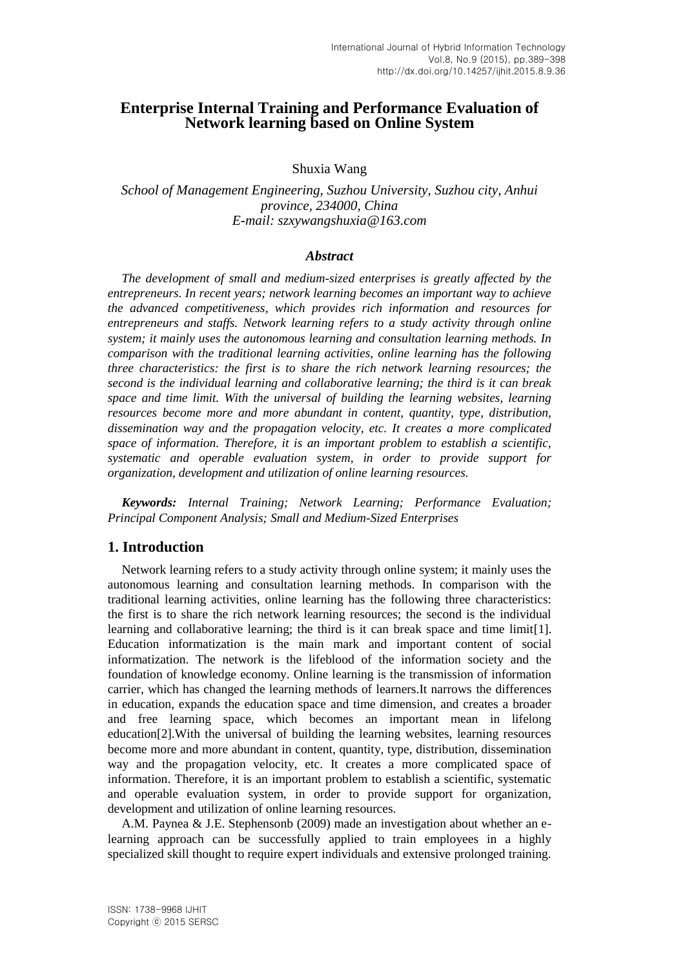# **Enterprise Internal Training and Performance Evaluation of Network learning based on Online System**

Shuxia Wang

*School of Management Engineering, Suzhou University, Suzhou city, Anhui province, 234000, China E-mail: szxywangshuxia@163.com*

#### *Abstract*

*The development of small and medium-sized enterprises is greatly affected by the entrepreneurs. In recent years; network learning becomes an important way to achieve the advanced competitiveness, which provides rich information and resources for entrepreneurs and staffs. Network learning refers to a study activity through online system; it mainly uses the autonomous learning and consultation learning methods. In comparison with the traditional learning activities, online learning has the following three characteristics: the first is to share the rich network learning resources; the second is the individual learning and collaborative learning; the third is it can break space and time limit. With the universal of building the learning websites, learning resources become more and more abundant in content, quantity, type, distribution, dissemination way and the propagation velocity, etc. It creates a more complicated space of information. Therefore, it is an important problem to establish a scientific, systematic and operable evaluation system, in order to provide support for organization, development and utilization of online learning resources.*

*Keywords: Internal Training; Network Learning; Performance Evaluation; Principal Component Analysis; Small and Medium-Sized Enterprises*

### **1. Introduction**

Network learning refers to a study activity through online system; it mainly uses the autonomous learning and consultation learning methods. In comparison with the traditional learning activities, online learning has the following three characteristics: the first is to share the rich network learning resources; the second is the individual learning and collaborative learning; the third is it can break space and time limit[1]. Education informatization is the main mark and important content of social informatization. The network is the lifeblood of the information society and the foundation of knowledge economy. Online learning is the transmission of information carrier, which has changed the learning methods of learners.It narrows the differences in education, expands the education space and time dimension, and creates a broader and free learning space, which becomes an important mean in lifelong education[2].With the universal of building the learning websites, learning resources become more and more abundant in content, quantity, type, distribution, dissemination way and the propagation velocity, etc. It creates a more complicated space of information. Therefore, it is an important problem to establish a scientific, systematic and operable evaluation system, in order to provide support for organization, development and utilization of online learning resources.

A.M. Paynea & J.E. Stephensonb (2009) made an investigation about whether an elearning approach can be successfully applied to train employees in a highly specialized skill thought to require expert individuals and extensive prolonged training.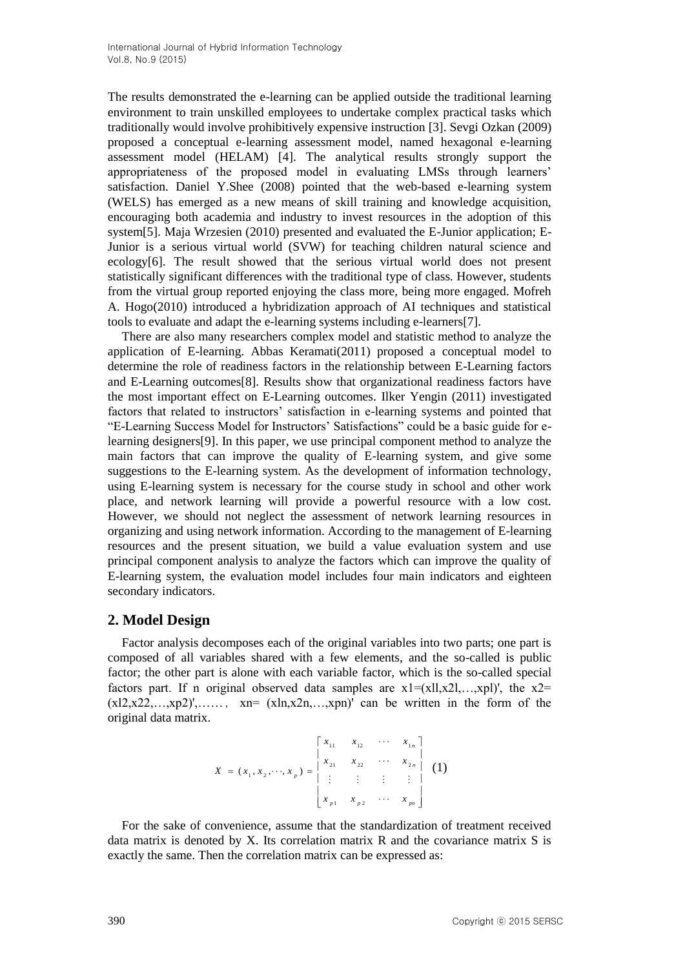The results demonstrated the e-learning can be applied outside the traditional learning environment to train unskilled employees to undertake complex practical tasks which traditionally would involve prohibitively expensive instruction [3]. Sevgi Ozkan (2009) proposed a conceptual e-learning assessment model, named hexagonal e-learning assessment model (HELAM) [4]. The analytical results strongly support the appropriateness of the proposed model in evaluating LMSs through learners' satisfaction. Daniel Y.Shee (2008) pointed that the web-based e-learning system (WELS) has emerged as a new means of skill training and knowledge acquisition, encouraging both academia and industry to invest resources in the adoption of this system[5]. Maja Wrzesien (2010) presented and evaluated the E-Junior application; E-Junior is a serious virtual world (SVW) for teaching children natural science and ecology[6]. The result showed that the serious virtual world does not present statistically significant differences with the traditional type of class. However, students from the virtual group reported enjoying the class more, being more engaged. Mofreh A. Hogo(2010) introduced a hybridization approach of AI techniques and statistical tools to evaluate and adapt the e-learning systems including e-learners[7].

There are also many researchers complex model and statistic method to analyze the application of E-learning. Abbas Keramati(2011) proposed a conceptual model to determine the role of readiness factors in the relationship between E-Learning factors and E-Learning outcomes[8]. Results show that organizational readiness factors have the most important effect on E-Learning outcomes. Ilker Yengin (2011) investigated factors that related to instructors' satisfaction in e-learning systems and pointed that "E-Learning Success Model for Instructors' Satisfactions" could be a basic guide for elearning designers[9]. In this paper, we use principal component method to analyze the main factors that can improve the quality of E-learning system, and give some suggestions to the E-learning system. As the development of information technology, using E-learning system is necessary for the course study in school and other work place, and network learning will provide a powerful resource with a low cost. However, we should not neglect the assessment of network learning resources in organizing and using network information. According to the management of E-learning resources and the present situation, we build a value evaluation system and use principal component analysis to analyze the factors which can improve the quality of E-learning system, the evaluation model includes four main indicators and eighteen secondary indicators.

### **2. Model Design**

Factor analysis decomposes each of the original variables into two parts; one part is composed of all variables shared with a few elements, and the so-called is public factor; the other part is alone with each variable factor, which is the so-called special factors part. If n original observed data samples are  $x1 = (x11, x21, \ldots, xp1)$ , the  $x2 =$  $(x12,x22,...,xp2)$ ',……, xn=  $(xln,x2n,...,xpn)$ ' can be written in the form of the original data matrix.

$$
X = (x_1, x_2, \dots, x_p) = \begin{bmatrix} x_{11} & x_{12} & \cdots & x_{1n} \\ x_{21} & x_{22} & \cdots & x_{2n} \\ \vdots & \vdots & \vdots & \vdots \\ x_{p1} & x_{p2} & \cdots & x_{pn} \end{bmatrix}
$$
 (1)

For the sake of convenience, assume that the standardization of treatment received data matrix is denoted by X. Its correlation matrix R and the covariance matrix S is exactly the same. Then the correlation matrix can be expressed as: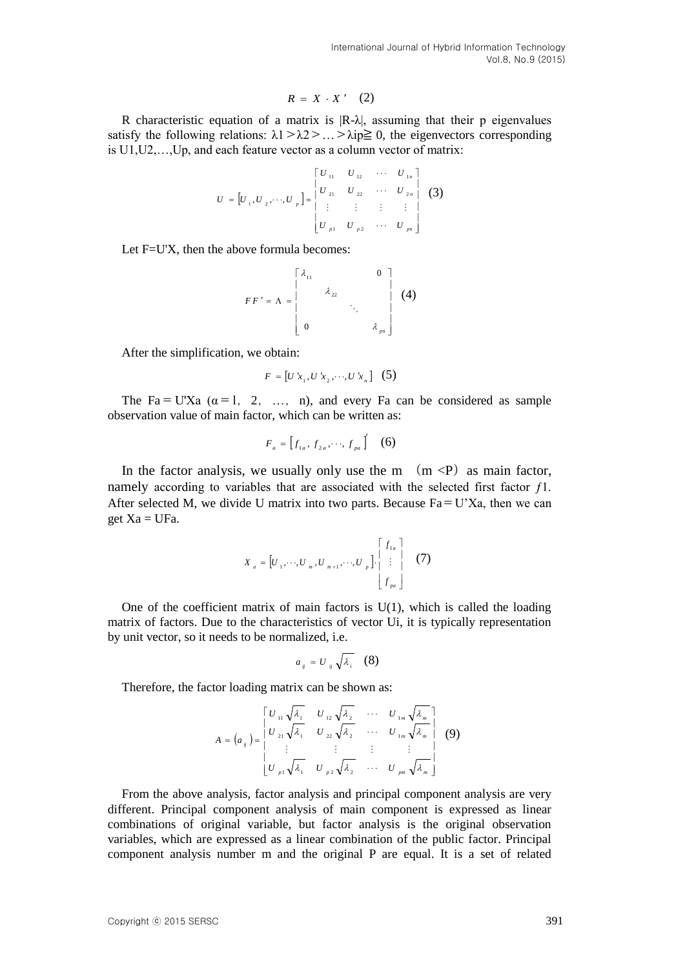$$
R = X \cdot X' \quad (2)
$$

R characteristic equation of a matrix is  $|R-\lambda|$ , assuming that their p eigenvalues satisfy the following relations:  $\lambda 1 > \lambda 2 > ... > \lambda$ ip $\geq 0$ , the eigenvectors corresponding is U1,U2,…,Up, and each feature vector as a column vector of matrix:

$$
U = [U_1, U_2, \cdots, U_p] = \begin{bmatrix} U_{11} & U_{12} & \cdots & U_{1n} \\ U_{21} & U_{22} & \cdots & U_{2n} \\ \vdots & \vdots & \vdots & \vdots \\ U_{p1} & U_{p2} & \cdots & U_{pn} \end{bmatrix}
$$
 (3)

Let F=U'X, then the above formula becomes:

$$
FF' = \Lambda = \begin{bmatrix} \lambda_{11} & 0 \\ \lambda_{22} & \cdot \\ \cdot & \cdot \\ 0 & \lambda_{pq} \end{bmatrix} \tag{4}
$$

After the simplification, we obtain:

$$
F = [U'x_1, U'x_2, \cdots, U'x_n] \quad (5)
$$

The Fa=U'Xa  $(\alpha=1, 2, ..., n)$ , and every Fa can be considered as sample observation value of main factor, which can be written as:

$$
F_a = \begin{bmatrix} f_{1a}, f_{2a}, \cdots, f_{pa} \end{bmatrix} \quad (6)
$$

In the factor analysis, we usually only use the m  $(m < P)$  as main factor, namely according to variables that are associated with the selected first factor  $f_1$ . After selected M, we divide U matrix into two parts. Because  $Fa = U'Xa$ , then we can get  $Xa = UFa$ .

$$
X_{a} = \begin{bmatrix} U_1, \cdots, U_m, U_{m+1}, \cdots, U_p \end{bmatrix} \cdot \begin{bmatrix} f_{1a} \\ \vdots \\ f_{pa} \end{bmatrix}
$$
 (7)

One of the coefficient matrix of main factors is  $U(1)$ , which is called the loading matrix of factors. Due to the characteristics of vector Ui, it is typically representation by unit vector, so it needs to be normalized, i.e.

$$
a_{ij} = U_{ij} \sqrt{\lambda_i} \quad (8)
$$

Therefore, the factor loading matrix can be shown as:

$$
A = (a_{ij}) = \begin{bmatrix} U_{11} \sqrt{\lambda_1} & U_{12} \sqrt{\lambda_2} & \cdots & U_{1m} \sqrt{\lambda_m} \\ U_{21} \sqrt{\lambda_1} & U_{22} \sqrt{\lambda_2} & \cdots & U_{1m} \sqrt{\lambda_m} \\ \vdots & \vdots & \vdots & \vdots \\ U_{p1} \sqrt{\lambda_1} & U_{p2} \sqrt{\lambda_2} & \cdots & U_{pm} \sqrt{\lambda_m} \end{bmatrix}
$$
(9)

R characteristic equation of a matrix is  $R^2 \times X^2$ . (2)<br>
R characteristic equation of a matrix is  $R^2 \lambda_2$  assuming that their p eigenvalues<br>
statisty the following relations:  $\lambda_1 > 2, 2 \cdots > \lambda_1 > \lambda_1 > 2, 2 \cdots > \lambda_p \geq 0$ From the above analysis, factor analysis and principal component analysis are very different. Principal component analysis of main component is expressed as linear combinations of original variable, but factor analysis is the original observation variables, which are expressed as a linear combination of the public factor. Principal component analysis number m and the original P are equal. It is a set of related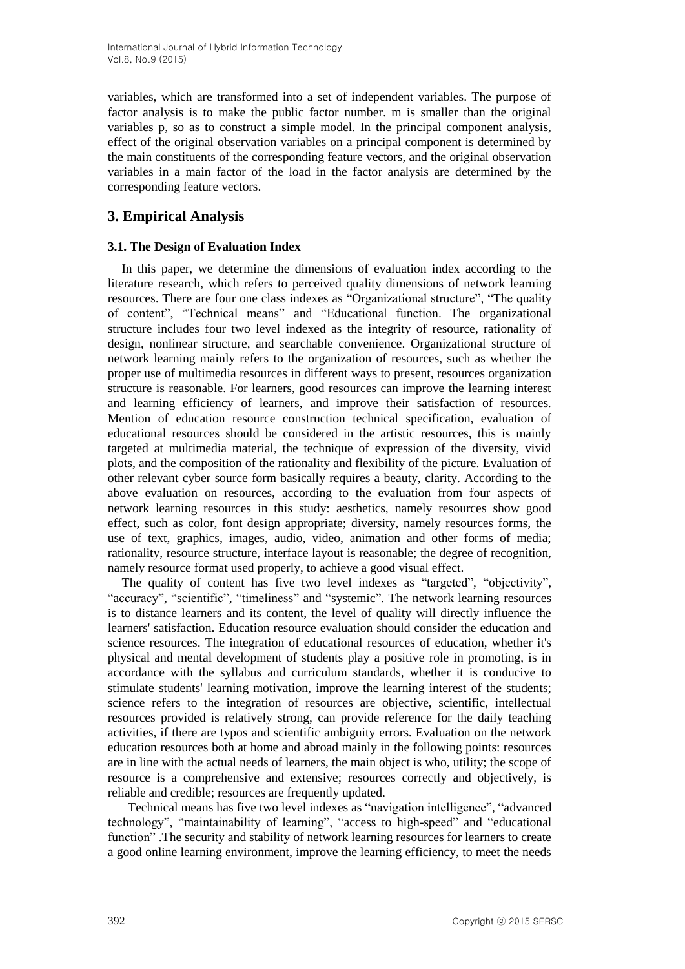variables, which are transformed into a set of independent variables. The purpose of factor analysis is to make the public factor number. m is smaller than the original variables p, so as to construct a simple model. In the principal component analysis, effect of the original observation variables on a principal component is determined by the main constituents of the corresponding feature vectors, and the original observation variables in a main factor of the load in the factor analysis are determined by the corresponding feature vectors.

# **3. Empirical Analysis**

### **3.1. The Design of Evaluation Index**

In this paper, we determine the dimensions of evaluation index according to the literature research, which refers to perceived quality dimensions of network learning resources. There are four one class indexes as "Organizational structure", "The quality of content", "Technical means" and "Educational function. The organizational structure includes four two level indexed as the integrity of resource, rationality of design, nonlinear structure, and searchable convenience. Organizational structure of network learning mainly refers to the organization of resources, such as whether the proper use of multimedia resources in different ways to present, resources organization structure is reasonable. For learners, good resources can improve the learning interest and learning efficiency of learners, and improve their satisfaction of resources. Mention of education resource construction technical specification, evaluation of educational resources should be considered in the artistic resources, this is mainly targeted at multimedia material, the technique of expression of the diversity, vivid plots, and the composition of the rationality and flexibility of the picture. Evaluation of other relevant cyber source form basically requires a beauty, clarity. According to the above evaluation on resources, according to the evaluation from four aspects of network learning resources in this study: aesthetics, namely resources show good effect, such as color, font design appropriate; diversity, namely resources forms, the use of text, graphics, images, audio, video, animation and other forms of media; rationality, resource structure, interface layout is reasonable; the degree of recognition, namely resource format used properly, to achieve a good visual effect.

The quality of content has five two level indexes as "targeted", "objectivity", "accuracy", "scientific", "timeliness" and "systemic". The network learning resources is to distance learners and its content, the level of quality will directly influence the learners' satisfaction. Education resource evaluation should consider the education and science resources. The integration of educational resources of education, whether it's physical and mental development of students play a positive role in promoting, is in accordance with the syllabus and curriculum standards, whether it is conducive to stimulate students' learning motivation, improve the learning interest of the students; science refers to the integration of resources are objective, scientific, intellectual resources provided is relatively strong, can provide reference for the daily teaching activities, if there are typos and scientific ambiguity errors. Evaluation on the network education resources both at home and abroad mainly in the following points: resources are in line with the actual needs of learners, the main object is who, utility; the scope of resource is a comprehensive and extensive; resources correctly and objectively, is reliable and credible; resources are frequently updated.

Technical means has five two level indexes as "navigation intelligence", "advanced technology", "maintainability of learning", "access to high-speed" and "educational function" .The security and stability of network learning resources for learners to create a good online learning environment, improve the learning efficiency, to meet the needs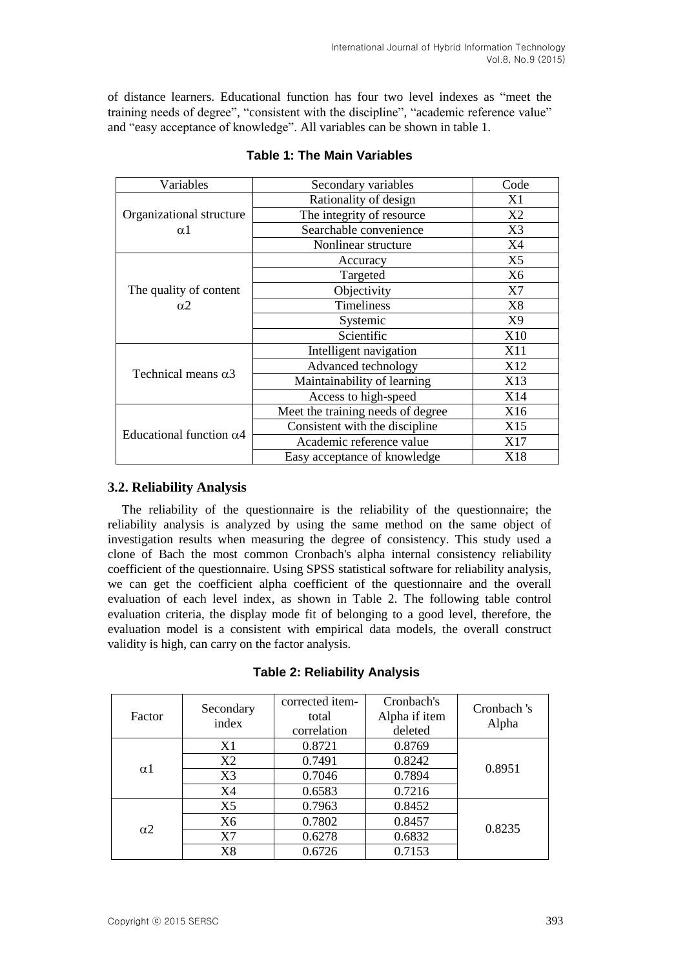of distance learners. Educational function has four two level indexes as "meet the training needs of degree", "consistent with the discipline", "academic reference value" and "easy acceptance of knowledge". All variables can be shown in table 1.

| Variables                            | Secondary variables               | Code           |
|--------------------------------------|-----------------------------------|----------------|
|                                      | Rationality of design             | X1             |
| Organizational structure             | The integrity of resource         | X <sub>2</sub> |
| $\alpha$ 1                           | Searchable convenience            | X3             |
|                                      | Nonlinear structure               | X4             |
| The quality of content<br>$\alpha$ 2 | Accuracy                          | X <sub>5</sub> |
|                                      | Targeted                          | X <sub>6</sub> |
|                                      | Objectivity                       | X7             |
|                                      | Timeliness                        | X8             |
|                                      | Systemic                          | X9             |
|                                      | Scientific                        | X10            |
| Technical means $\alpha$ 3           | Intelligent navigation            | X11            |
|                                      | Advanced technology               | X12            |
|                                      | Maintainability of learning       | X13            |
|                                      | Access to high-speed              | X14            |
| Educational function $\alpha$ 4      | Meet the training needs of degree | X16            |
|                                      | Consistent with the discipline    | X15            |
|                                      | Academic reference value          | X17            |
|                                      | Easy acceptance of knowledge      | X18            |

### **Table 1: The Main Variables**

### **3.2. Reliability Analysis**

The reliability of the questionnaire is the reliability of the questionnaire; the reliability analysis is analyzed by using the same method on the same object of investigation results when measuring the degree of consistency. This study used a clone of Bach the most common Cronbach's alpha internal consistency reliability coefficient of the questionnaire. Using SPSS statistical software for reliability analysis, we can get the coefficient alpha coefficient of the questionnaire and the overall evaluation of each level index, as shown in Table 2. The following table control evaluation criteria, the display mode fit of belonging to a good level, therefore, the evaluation model is a consistent with empirical data models, the overall construct validity is high, can carry on the factor analysis.

| Factor     | Secondary<br>index | corrected item-<br>total<br>correlation | Cronbach's<br>Alpha if item<br>deleted | Cronbach 's<br>Alpha |
|------------|--------------------|-----------------------------------------|----------------------------------------|----------------------|
| $\alpha$ 1 | X1                 | 0.8721                                  | 0.8769                                 |                      |
|            | X <sub>2</sub>     | 0.7491                                  | 0.8242                                 | 0.8951               |
|            | X <sub>3</sub>     | 0.7046                                  | 0.7894                                 |                      |
|            | X4                 | 0.6583                                  | 0.7216                                 |                      |
| $\alpha$ 2 | X <sub>5</sub>     | 0.7963                                  | 0.8452                                 |                      |
|            | X6                 | 0.7802                                  | 0.8457                                 | 0.8235               |
|            | X7                 | 0.6278                                  | 0.6832                                 |                      |
|            | X8                 | 0.6726                                  | 0.7153                                 |                      |

### **Table 2: Reliability Analysis**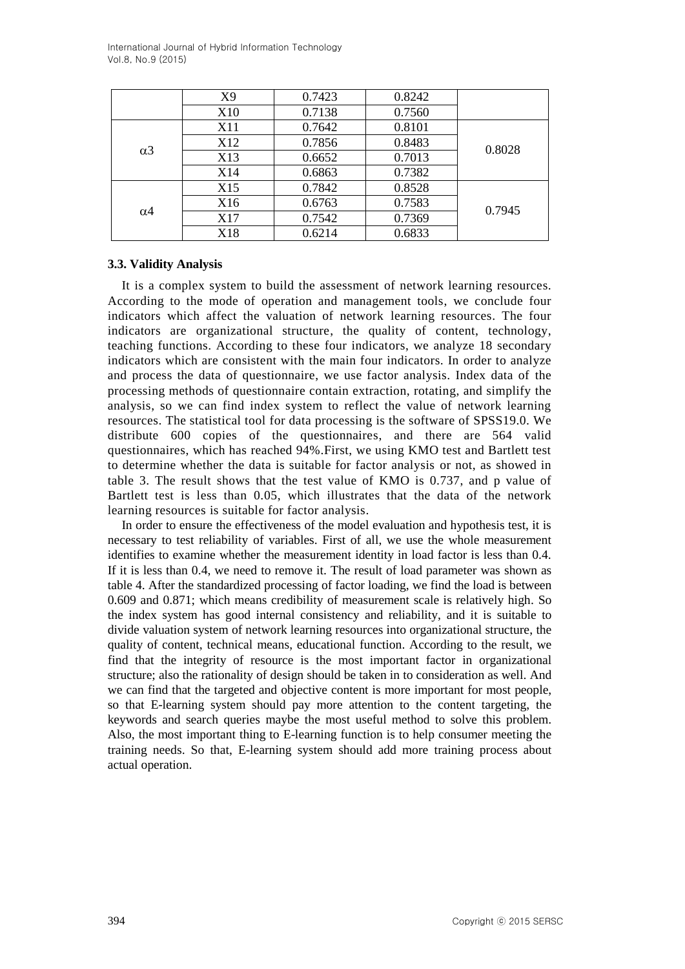|            | X <sub>9</sub>  | 0.7423 | 0.8242 |        |
|------------|-----------------|--------|--------|--------|
|            | X10             | 0.7138 | 0.7560 |        |
| $\alpha$ 3 | X11             | 0.7642 | 0.8101 |        |
|            | X <sub>12</sub> | 0.7856 | 0.8483 | 0.8028 |
|            | X13             | 0.6652 | 0.7013 |        |
|            | X14             | 0.6863 | 0.7382 |        |
| $\alpha$ 4 | X15             | 0.7842 | 0.8528 |        |
|            | X16             | 0.6763 | 0.7583 | 0.7945 |
|            | X17             | 0.7542 | 0.7369 |        |
|            | X18             | 0.6214 | 0.6833 |        |

### **3.3. Validity Analysis**

It is a complex system to build the assessment of network learning resources. According to the mode of operation and management tools, we conclude four indicators which affect the valuation of network learning resources. The four indicators are organizational structure, the quality of content, technology, teaching functions. According to these four indicators, we analyze 18 secondary indicators which are consistent with the main four indicators. In order to analyze and process the data of questionnaire, we use factor analysis. Index data of the processing methods of questionnaire contain extraction, rotating, and simplify the analysis, so we can find index system to reflect the value of network learning resources. The statistical tool for data processing is the software of SPSS19.0. We distribute 600 copies of the questionnaires, and there are 564 valid questionnaires, which has reached 94%.First, we using KMO test and Bartlett test to determine whether the data is suitable for factor analysis or not, as showed in table 3. The result shows that the test value of KMO is 0.737, and p value of Bartlett test is less than 0.05, which illustrates that the data of the network learning resources is suitable for factor analysis.

In order to ensure the effectiveness of the model evaluation and hypothesis test, it is necessary to test reliability of variables. First of all, we use the whole measurement identifies to examine whether the measurement identity in load factor is less than 0.4. If it is less than 0.4, we need to remove it. The result of load parameter was shown as table 4. After the standardized processing of factor loading, we find the load is between 0.609 and 0.871; which means credibility of measurement scale is relatively high. So the index system has good internal consistency and reliability, and it is suitable to divide valuation system of network learning resources into organizational structure, the quality of content, technical means, educational function. According to the result, we find that the integrity of resource is the most important factor in organizational structure; also the rationality of design should be taken in to consideration as well. And we can find that the targeted and objective content is more important for most people, so that E-learning system should pay more attention to the content targeting, the keywords and search queries maybe the most useful method to solve this problem. Also, the most important thing to E-learning function is to help consumer meeting the training needs. So that, E-learning system should add more training process about actual operation.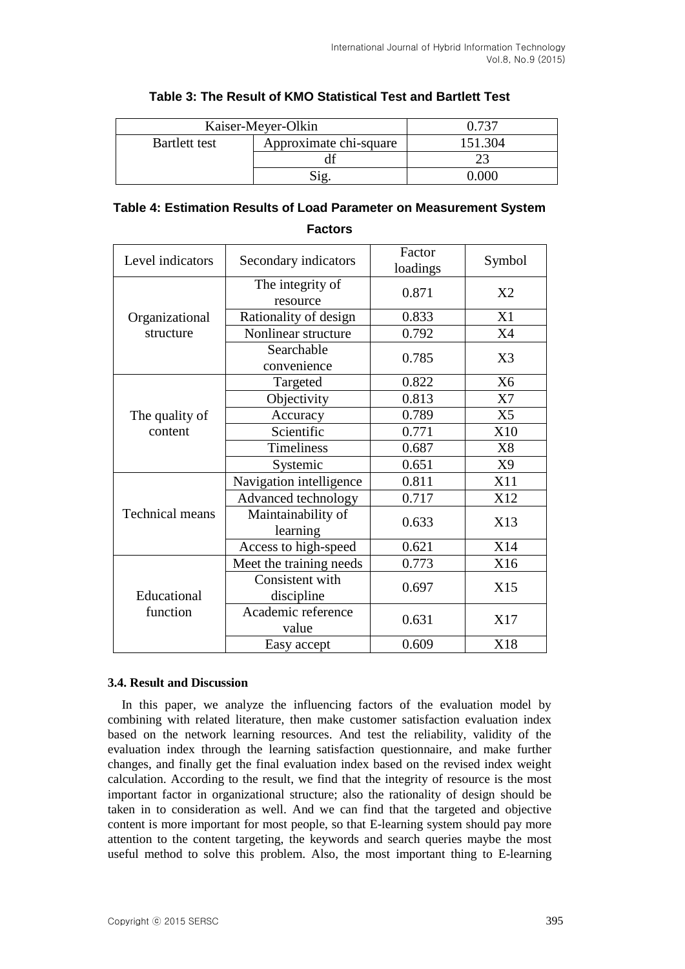| Kaiser-Meyer-Olkin |                        | 1.727  |
|--------------------|------------------------|--------|
| Bartlett test      | Approximate chi-square | 51.304 |
|                    |                        |        |
|                    |                        | ገበር    |

### **Table 3: The Result of KMO Statistical Test and Bartlett Test**

# **Table 4: Estimation Results of Load Parameter on Measurement System**

Level indicators Secondary indicators  $\begin{bmatrix} \text{Factor} \\ \text{vector} \end{bmatrix}$ ractor Symbol Organizational structure The integrity of resource 0.871 X2 Rationality of design  $\vert$  0.833  $\vert$  X1 Nonlinear structure  $\begin{array}{|c|c|c|c|c|} \hline 0.792 & & \text{X4} \ \hline \end{array}$ Searchable convenience 0.785 X3 The quality of content Targeted  $0.822$  X6 Objectivity 0.813 X7 Accuracy 0.789 X5 Scientific  $0.771$   $\times 10$ Timeliness 1 0.687 X8 Systemic  $0.651$  X9 Technical means Navigation intelligence 0.811 X11 Advanced technology  $\boxed{0.717}$   $\boxed{X12}$ Maintainability of  $\begin{array}{c|c}\n\text{learning} & 0.633 \\
\text{learning} & \end{array}$  X13 Access to high-speed  $\vert$  0.621  $\vert$  X14 Educational function Meet the training needs  $\vert$  0.773  $\vert$  X16 Consistent with discipline  $0.697$  X15 Academic reference  $\begin{array}{c|c}\n\text{value} \\
\text{value}\n\end{array}$  0.631  $\begin{array}{|c|c|}\n\text{X17}\n\end{array}$ Easy accept  $\begin{array}{|c|c|c|c|c|} \hline \text{0.609} & & \text{X18} \ \hline \end{array}$ 

### **Factors**

### **3.4. Result and Discussion**

In this paper, we analyze the influencing factors of the evaluation model by combining with related literature, then make customer satisfaction evaluation index based on the network learning resources. And test the reliability, validity of the evaluation index through the learning satisfaction questionnaire, and make further changes, and finally get the final evaluation index based on the revised index weight calculation. According to the result, we find that the integrity of resource is the most important factor in organizational structure; also the rationality of design should be taken in to consideration as well. And we can find that the targeted and objective content is more important for most people, so that E-learning system should pay more attention to the content targeting, the keywords and search queries maybe the most useful method to solve this problem. Also, the most important thing to E-learning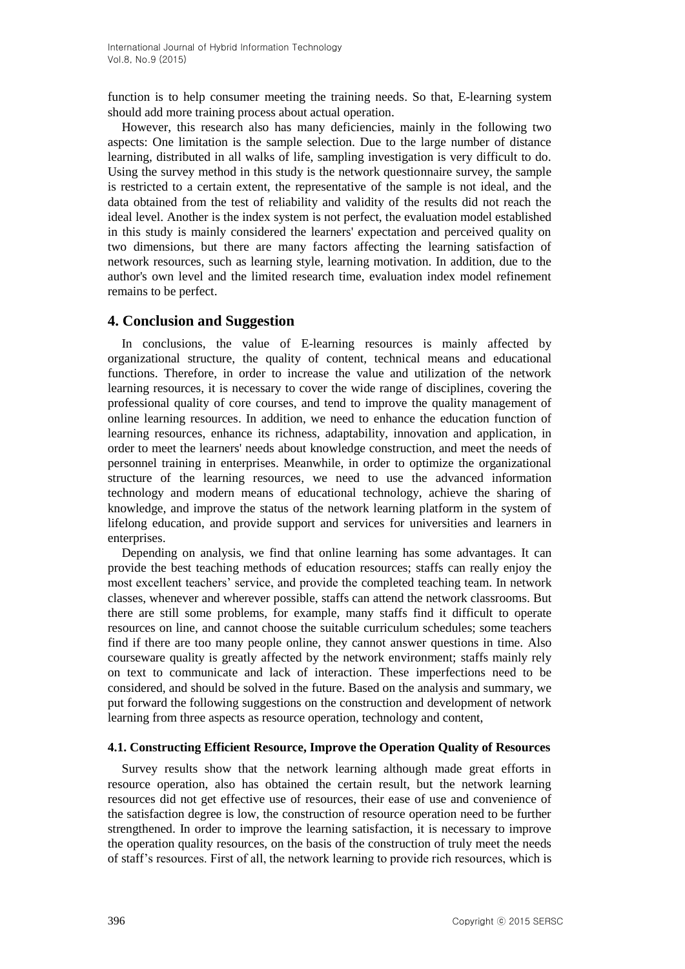function is to help consumer meeting the training needs. So that, E-learning system should add more training process about actual operation.

However, this research also has many deficiencies, mainly in the following two aspects: One limitation is the sample selection. Due to the large number of distance learning, distributed in all walks of life, sampling investigation is very difficult to do. Using the survey method in this study is the network questionnaire survey, the sample is restricted to a certain extent, the representative of the sample is not ideal, and the data obtained from the test of reliability and validity of the results did not reach the ideal level. Another is the index system is not perfect, the evaluation model established in this study is mainly considered the learners' expectation and perceived quality on two dimensions, but there are many factors affecting the learning satisfaction of network resources, such as learning style, learning motivation. In addition, due to the author's own level and the limited research time, evaluation index model refinement remains to be perfect.

### **4. Conclusion and Suggestion**

In conclusions, the value of E-learning resources is mainly affected by organizational structure, the quality of content, technical means and educational functions. Therefore, in order to increase the value and utilization of the network learning resources, it is necessary to cover the wide range of disciplines, covering the professional quality of core courses, and tend to improve the quality management of online learning resources. In addition, we need to enhance the education function of learning resources, enhance its richness, adaptability, innovation and application, in order to meet the learners' needs about knowledge construction, and meet the needs of personnel training in enterprises. Meanwhile, in order to optimize the organizational structure of the learning resources, we need to use the advanced information technology and modern means of educational technology, achieve the sharing of knowledge, and improve the status of the network learning platform in the system of lifelong education, and provide support and services for universities and learners in enterprises.

Depending on analysis, we find that online learning has some advantages. It can provide the best teaching methods of education resources; staffs can really enjoy the most excellent teachers' service, and provide the completed teaching team. In network classes, whenever and wherever possible, staffs can attend the network classrooms. But there are still some problems, for example, many staffs find it difficult to operate resources on line, and cannot choose the suitable curriculum schedules; some teachers find if there are too many people online, they cannot answer questions in time. Also courseware quality is greatly affected by the network environment; staffs mainly rely on text to communicate and lack of interaction. These imperfections need to be considered, and should be solved in the future. Based on the analysis and summary, we put forward the following suggestions on the construction and development of network learning from three aspects as resource operation, technology and content,

### **4.1. Constructing Efficient Resource, Improve the Operation Quality of Resources**

Survey results show that the network learning although made great efforts in resource operation, also has obtained the certain result, but the network learning resources did not get effective use of resources, their ease of use and convenience of the satisfaction degree is low, the construction of resource operation need to be further strengthened. In order to improve the learning satisfaction, it is necessary to improve the operation quality resources, on the basis of the construction of truly meet the needs of staff's resources. First of all, the network learning to provide rich resources, which is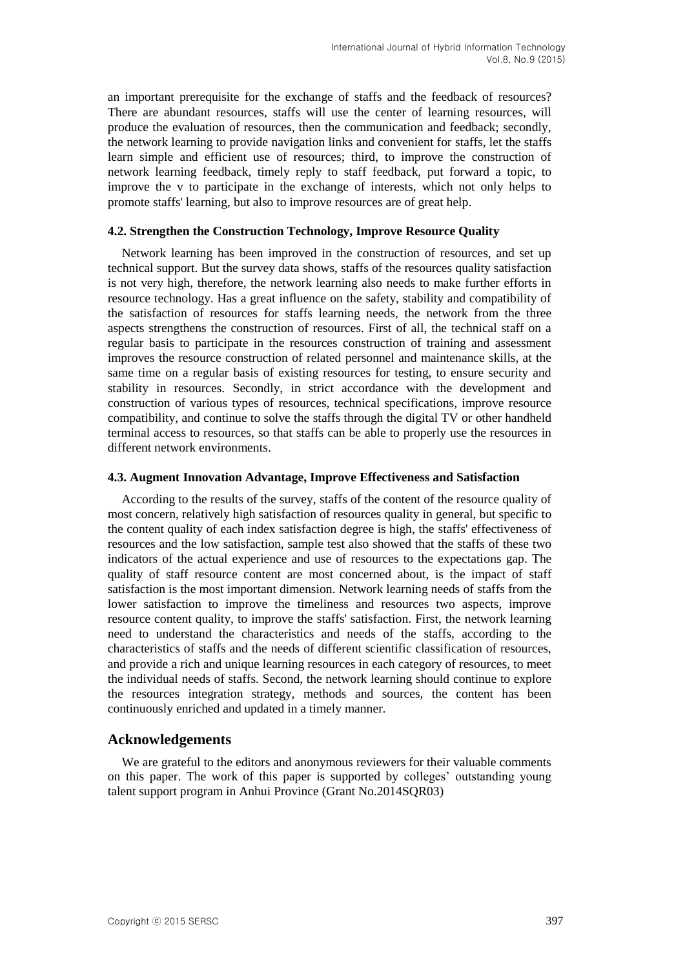an important prerequisite for the exchange of staffs and the feedback of resources? There are abundant resources, staffs will use the center of learning resources, will produce the evaluation of resources, then the communication and feedback; secondly, the network learning to provide navigation links and convenient for staffs, let the staffs learn simple and efficient use of resources; third, to improve the construction of network learning feedback, timely reply to staff feedback, put forward a topic, to improve the v to participate in the exchange of interests, which not only helps to promote staffs' learning, but also to improve resources are of great help.

#### **4.2. Strengthen the Construction Technology, Improve Resource Quality**

Network learning has been improved in the construction of resources, and set up technical support. But the survey data shows, staffs of the resources quality satisfaction is not very high, therefore, the network learning also needs to make further efforts in resource technology. Has a great influence on the safety, stability and compatibility of the satisfaction of resources for staffs learning needs, the network from the three aspects strengthens the construction of resources. First of all, the technical staff on a regular basis to participate in the resources construction of training and assessment improves the resource construction of related personnel and maintenance skills, at the same time on a regular basis of existing resources for testing, to ensure security and stability in resources. Secondly, in strict accordance with the development and construction of various types of resources, technical specifications, improve resource compatibility, and continue to solve the staffs through the digital TV or other handheld terminal access to resources, so that staffs can be able to properly use the resources in different network environments.

#### **4.3. Augment Innovation Advantage, Improve Effectiveness and Satisfaction**

According to the results of the survey, staffs of the content of the resource quality of most concern, relatively high satisfaction of resources quality in general, but specific to the content quality of each index satisfaction degree is high, the staffs' effectiveness of resources and the low satisfaction, sample test also showed that the staffs of these two indicators of the actual experience and use of resources to the expectations gap. The quality of staff resource content are most concerned about, is the impact of staff satisfaction is the most important dimension. Network learning needs of staffs from the lower satisfaction to improve the timeliness and resources two aspects, improve resource content quality, to improve the staffs' satisfaction. First, the network learning need to understand the characteristics and needs of the staffs, according to the characteristics of staffs and the needs of different scientific classification of resources, and provide a rich and unique learning resources in each category of resources, to meet the individual needs of staffs. Second, the network learning should continue to explore the resources integration strategy, methods and sources, the content has been continuously enriched and updated in a timely manner.

### **Acknowledgements**

We are grateful to the editors and anonymous reviewers for their valuable comments on this paper. The work of this paper is supported by colleges' outstanding young talent support program in Anhui Province (Grant No.2014SQR03)